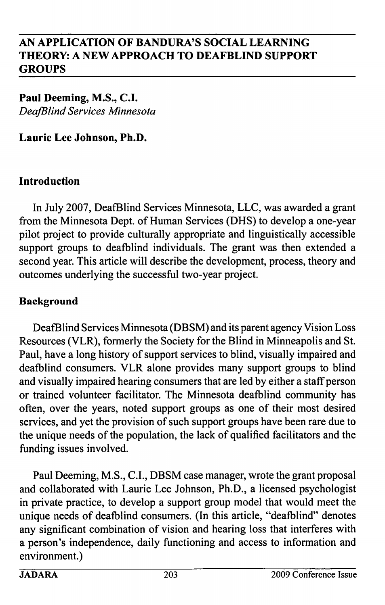Paul Deeming, M.S., C.I. DeafBlind Services Minnesota

Laurie Lee Johnson, Ph.D.

#### Introduction

In July 2007, DeafBlind Services Minnesota, LLC, was awarded a grant from the Minnesota Dept. of Human Services (DHS) to develop a one-year pilot project to provide culturally appropriate and linguistically accessible support groups to deafblind individuals. The grant was then extended a second year. This article will describe the development, process, theory and outcomes underlying the successful two-year project.

### Background

DeafBlind Services Minnesota (DBSM) and its parent agency Vision Loss Resources (VLR), formerly the Society for the Blind in Minneapolis and St. Paul, have a long history of support services to blind, visually impaired and deafblind consumers. VLR alone provides many support groups to blind and visually impaired hearing consumers that are led by either a staff person or trained volunteer facilitator. The Minnesota deafblind community has often, over the years, noted support groups as one of their most desired services, and yet the provision of such support groups have been rare due to the unique needs of the population, the lack of qualified facilitators and the funding issues involved.

Paul Deeming, M.S., C.I., DBSM case manager, wrote the grant proposal and collaborated with Laurie Lee Johnson, Ph.D., a licensed psychologist in private practice, to develop a support group model that would meet the unique needs of deafblind consumers. (In this article, "deafblind" denotes any significant combination of vision and hearing loss that interferes with a person's independence, daily functioning and access to information and environment.)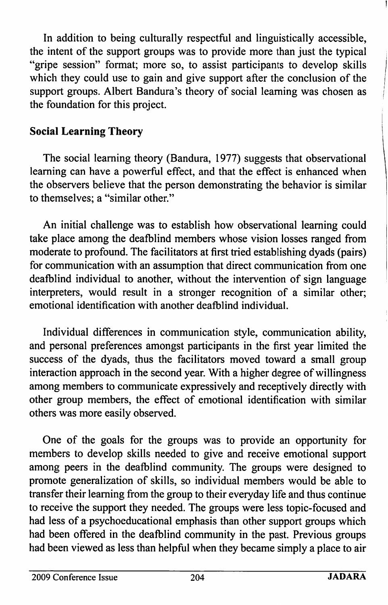In addition to being culturally respectful and linguistically accessible, the intent of the support groups was to provide more than just the typical "gripe session" format; more so, to assist participants to develop skills which they could use to gain and give support after the conclusion of the support groups. Albert Bandura's theory of social learning was chosen as the foundation for this project.

### Social Learning Theory

The social learning theory (Bandura, 1977) suggests that observational learning can have a powerful effect, and that the effect is enhanced when the observers believe that the person demonstrating the behavior is similar to themselves; a "similar other."

An initial challenge was to establish how observational leaming could take place among the deafblind members whose vision losses ranged from moderate to profound. The facilitators at first tried establishing dyads (pairs) for communication with an assumption that direct communication from one deafblind individual to another, without the intervention of sign language interpreters, would result in a stronger recognition of a similar other; emotional identification with another deafblind individual.

Individual differences in communication style, communication ability, and personal preferences amongst participants in the first year limited the success of the dyads, thus the facilitators moved toward a small group interaction approach in the second year. With a higher degree of willingness among members to communicate expressively and receptively directly with other group members, the effect of emotional identification with similar others was more easily observed.

One of the goals for the groups was to provide an opportunity for members to develop skills needed to give and receive emotional support among peers in the deafblind community. The groups were designed to promote generalization of skills, so individual members would be able to transfer their leaming from the group to their everyday life and thus continue to receive the support they needed. The groups were less topic-focused and had less of a psychoeducational emphasis than other support groups which had been offered in the deafblind community in the past. Previous groups had been viewed as less than helpful when they became simply a place to air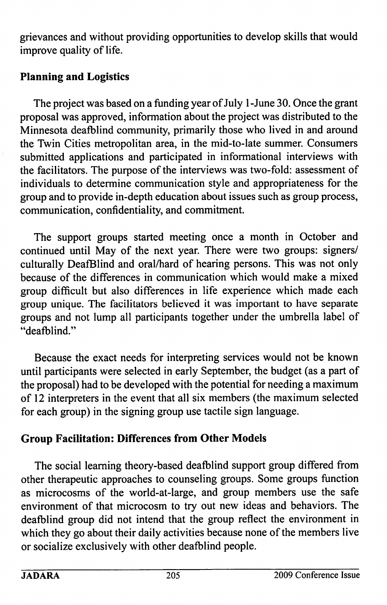grievances and without providing opportunities to develop skills that would improve quality of life.

## Planning and Logistics

The project was based on a funding year of July 1 -June 30. Once the grant proposal was approved, information about the project was distributed to the Minnesota deafblind community, primarily those who lived in and around the Twin Cities metropolitan area, in the mid-to-late summer. Consumers submitted applications and participated in informational interviews with the facilitators. The purpose of the interviews was two-fold: assessment of individuals to determine communication style and appropriateness for the group and to provide in-depth education about issues such as group process, communication, confidentiality, and commitment.

The support groups started meeting once a month in October and continued until May of the next year. There were two groups: signers/ culturally DeafBlind and oral/hard of hearing persons. This was not only because of the differences in communication which would make a mixed group difficult but also differences in life experience which made each group unique. The facilitators believed it was important to have separate groups and not lump all participants together under the umbrella label of "deafblind."

Because the exact needs for interpreting services would not be known until participants were selected in early September, the budget (as a part of the proposal) had to be developed with the potential for needing a maximum of 12 interpreters in the event that all six members (the maximum selected for each group) in the signing group use tactile sign language.

# Group Facilitation: Differences from Other Models

The social learning theory-based deafblind support group differed from other therapeutic approaches to counseling groups. Some groups function as microcosms of the world-at-large, and group members use the safe environment of that microcosm to try out new ideas and behaviors. The deafblind group did not intend that the group reflect the environment in which they go about their daily activities because none of the members live or socialize exclusively with other deafblind people.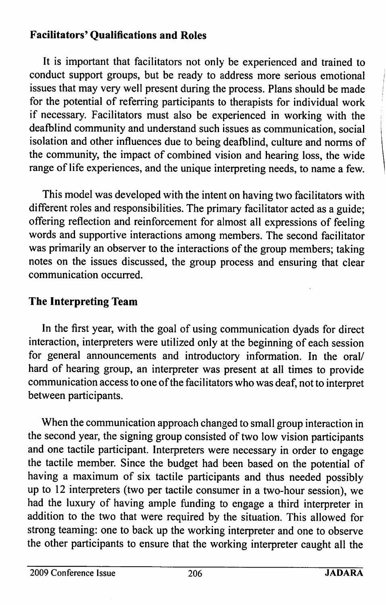## Facilitators' Qualifications and Roles

It is important that facilitators not only be experienced and trained to conduct support groups, but be ready to address more serious emotional issues that may very well present during the process. Plans should be made for the potential of referring participants to therapists for individual work if necessary. Facilitators must also be experienced in working with the deafblind community and understand such issues as communication, social isolation and other influences due to being deafblind, culture and norms of the community, the impact of combined vision and hearing loss, the wide range of life experiences, and the unique interpreting needs, to name a few.

This model was developed with the intent on having two facilitators with different roles and responsibilities. The primary facilitator acted as a guide; offering reflection and reinforcement for almost all expressions of feeling words and supportive interactions among members. The second facilitator was primarily an observer to the interactions of the group members; taking notes on the issues discussed, the group process and ensuring that clear communication occurred.

## The Interpreting Team

In the first year, with the goal of using communication dyads for direct interaction, interpreters were utilized only at the beginning of each session for general announcements and introductory information. In the oral/ hard of hearing group, an interpreter was present at all times to provide communication access to one of the facilitators who was deaf, not to interpret between participants.

When the communication approach changed to small group interaction in the second year, the signing group consisted of two low vision participants and one tactile participant. Interpreters were necessary in order to engage the tactile member. Since the budget had been based on the potential of having a maximum of six tactile participants and thus needed possibly up to 12 interpreters (two per tactile consumer in a two-hour session), we had the luxury of having ample funding to engage a third interpreter in addition to the two that were required by the situation. This allowed for strong teaming: one to back up the working interpreter and one to observe the other participants to ensure that the working interpreter caught all the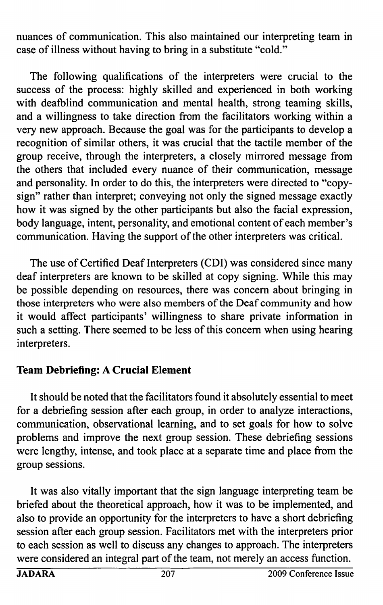nuances of communication. This also maintained our interpreting team in case of illness without having to bring in a substitute "cold."

The following qualifications of the interpreters were crucial to the success of the process: highly skilled and experienced in both working with deafblind communication and mental health, strong teaming skills, and a willingness to take direction from the facilitators working within a very new approach. Because the goal was for the participants to develop a recognition of similar others, it was crucial that the tactile member of the group receive, through the interpreters, a closely mirrored message from the others that included every nuance of their communication, message and personality. In order to do this, the interpreters were directed to "copysign" rather than interpret; conveying not only the signed message exactly how it was signed by the other participants but also the facial expression, body language, intent, personality, and emotional content of each member's communication. Having the support of the other interpreters was critical.

The use of Certified Deaf Interpreters (GDI) was considered since many deaf interpreters are known to be skilled at copy signing. While this may be possible depending on resources, there was concern about bringing in those interpreters who were also members of the Deaf community and how it would affect participants' willingness to share private information in such a setting. There seemed to be less of this concem when using hearing interpreters.

#### Team Debriefing: A Crucial Element

It should be noted that the facilitators found it absolutely essential to meet for a debriefing session after each group, in order to analyze interactions, communication, observational learning, and to set goals for how to solve problems and improve the next group session. These debriefing sessions were lengthy, intense, and took place at a separate time and place from the group sessions.

It was also vitally important that the sign language interpreting team be briefed about the theoretical approach, how it was to be implemented, and also to provide an opportunity for the interpreters to have a short debriefing session after each group session. Facilitators met with the interpreters prior to each session as well to discuss any changes to approach. The interpreters were considered an integral part of the team, not merely an access function.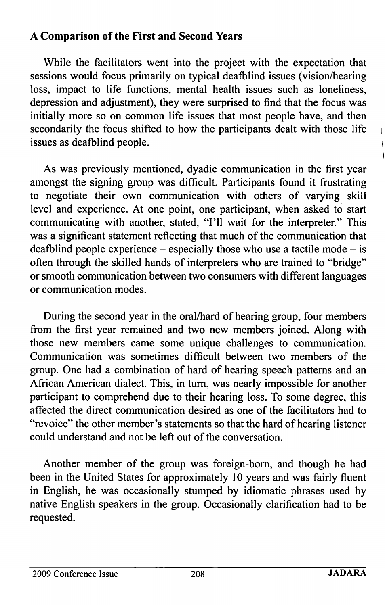### A Comparison of the First and Second Years

While the facilitators went into the project with the expectation that sessions would focus primarily on typical deafblind issues (vision/hearing loss, impact to life functions, mental health issues such as loneliness, depression and adjustment), they were surprised to find that the focus was initially more so on common life issues that most people have, and then secondarily the focus shifted to how the participants dealt with those life issues as deafblind people.

As was previously mentioned, dyadic communication in the first year amongst the signing group was difficult. Participants found it frustrating to negotiate their own communication with others of varying skill level and experience. At one point, one participant, when asked to start communicating with another, stated, "I'll wait for the interpreter." This was a significant statement reflecting that much of the communication that deafblind people experience – especially those who use a tactile mode – is often through the skilled hands of interpreters who are trained to "bridge" or smooth communication between two consumers with different languages or communication modes.

During the second year in the oral/hard of hearing group, four members from the first year remained and two new members joined. Along with those new members came some unique challenges to communication. Communication was sometimes difficult between two members of the group. One had a combination of hard of hearing speech patterns and an African American dialect. This, in turn, was nearly impossible for another participant to comprehend due to their hearing loss. To some degree, this affected the direct communication desired as one of the facilitators had to "revoice" the other member's statements so that the hard of hearing listener could understand and not be left out of the conversation.

Another member of the group was foreign-bom, and though he had been in the United States for approximately 10 years and was fairly fluent in English, he was occasionally stumped by idiomatic phrases used by native English speakers in the group. Occasionally clarification had to be requested.